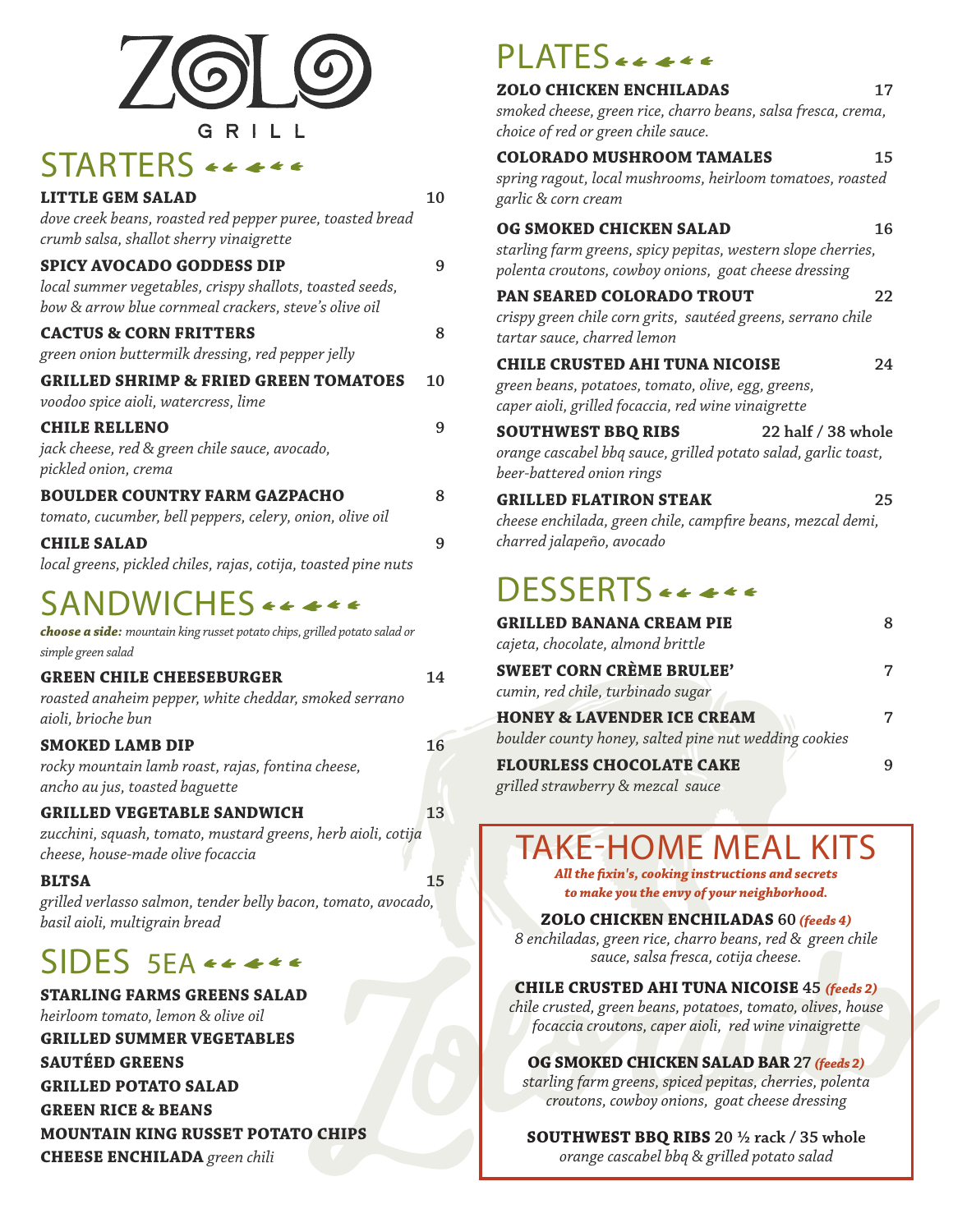

### STARTERS  $\leftrightarrow$   $\leftrightarrow$   $\leftrightarrow$

| <b>LITTLE GEM SALAD</b><br>dove creek beans, roasted red pepper puree, toasted bread<br>crumb salsa, shallot sherry vinaigrette                       | 10 |
|-------------------------------------------------------------------------------------------------------------------------------------------------------|----|
| <b>SPICY AVOCADO GODDESS DIP</b><br>local summer vegetables, crispy shallots, toasted seeds,<br>bow & arrow blue cornmeal crackers, steve's olive oil | 9  |
| <b>CACTUS &amp; CORN FRITTERS</b><br>green onion buttermilk dressing, red pepper jelly                                                                | 8  |
| <b>GRILLED SHRIMP &amp; FRIED GREEN TOMATOES</b><br>voodoo spice aioli, watercress, lime                                                              | 10 |
| <b>CHILE RELLENO</b><br>jack cheese, red & green chile sauce, avocado,<br>pickled onion, crema                                                        | 9  |
| <b>BOULDER COUNTRY FARM GAZPACHO</b><br>tomato, cucumber, bell peppers, celery, onion, olive oil                                                      | 8  |
| <b>CHILE SALAD</b><br>local greens, pickled chiles, rajas, cotija, toasted pine nuts                                                                  | 9  |

### SANDWICHES << <<<

| choose a side: mountain king russet potato chips, grilled potato salad or<br>simple green salad                                        |    |
|----------------------------------------------------------------------------------------------------------------------------------------|----|
| <b>GREEN CHILE CHEESEBURGER</b><br>roasted anaheim pepper, white cheddar, smoked serrano<br>aioli, brioche bun                         | 14 |
| <b>SMOKED LAMB DIP</b><br>rocky mountain lamb roast, rajas, fontina cheese,<br>ancho au jus, toasted baguette                          | 16 |
| <b>GRILLED VEGETABLE SANDWICH</b><br>zucchini, squash, tomato, mustard greens, herb aioli, cotija<br>cheese, house-made olive focaccia | 13 |
| <b>BLTSA</b><br>grilled verlasso salmon, tender belly bacon, tomato, avocado,<br>basil aioli, multigrain bread                         | 15 |

## SIDES 5EA \*\*\*\*\*

**STARLING FARMS GREENS SALAD** *heirloom tomato, lemon & olive oil* **GRILLED SUMMER VEGETABLES SAUTÉED GREENS GRILLED POTATO SALAD GREEN RICE & BEANS MOUNTAIN KING RUSSET POTATO CHIPS**

**CHEESE ENCHILADA** *green chili*

## PLATES \*\*\*\*\*

| <b>ZOLO CHICKEN ENCHILADAS</b>                                 | 17 |
|----------------------------------------------------------------|----|
| smoked cheese, green rice, charro beans, salsa fresca, crema,  |    |
| choice of red or green chile sauce.                            |    |
| <b>COLORADO MUSHROOM TAMALES</b>                               | 15 |
| spring ragout, local mushrooms, heirloom tomatoes, roasted     |    |
| garlic & corn cream                                            |    |
| OG SMOKED CHICKEN SALAD                                        | 16 |
| starling farm greens, spicy pepitas, western slope cherries,   |    |
| polenta croutons, cowboy onions, goat cheese dressing          |    |
| <b>PAN SEARED COLORADO TROUT</b>                               | 22 |
| crispy green chile corn grits, sautéed greens, serrano chile   |    |
| tartar sauce, charred lemon                                    |    |
| <b>CHILE CRUSTED AHI TUNA NICOISE</b>                          | 24 |
| green beans, potatoes, tomato, olive, egg, greens,             |    |
| caper aioli, grilled focaccia, red wine vinaigrette            |    |
|                                                                |    |
| <b>SOUTHWEST BBQ RIBS</b><br>22 half / 38 whole                |    |
| orange cascabel bbq sauce, grilled potato salad, garlic toast, |    |
| beer-battered onion rings                                      |    |
| <b>GRILLED FLATIRON STEAK</b>                                  | 25 |
| cheese enchilada, green chile, campfire beans, mezcal demi,    |    |
| charred jalapeño, avocado                                      |    |
|                                                                |    |
| DESSERTS *****                                                 |    |
| <b>GRILLED BANANA CREAM PIE</b>                                | 8  |
| cajeta, chocolate, almond brittle                              |    |
| <b>SWEET CORN CRÈME BRULEE'</b>                                | 7  |
| cumin, red chile, turbinado sugar                              |    |
| <b>HONEY &amp; LAVENDER ICE CREAM</b>                          | 7  |
| boulder county honey, salted pine nut wedding cookies          |    |

*grilled strawberry & mezcal sauce*

# TAKE-HOME MEAL KITS

*All the fixin's, cooking instructions and secrets to make you the envy of your neighborhood.*

#### **ZOLO CHICKEN ENCHILADAS 60** *(feeds 4)*

*8 enchiladas, green rice, charro beans, red & green chile sauce, salsa fresca, cotija cheese.* 

#### **CHILE CRUSTED AHI TUNA NICOISE 45** *(feeds 2)*

*chile crusted, green beans, potatoes, tomato, olives, house focaccia croutons, caper aioli, red wine vinaigrette*

#### **OG SMOKED CHICKEN SALAD BAR 27** *(feeds 2)*

*starling farm greens, spiced pepitas, cherries, polenta croutons, cowboy onions, goat cheese dressing* 

**SOUTHWEST BBQ RIBS 20 ½ rack / 35 whole** *orange cascabel bbq & grilled potato salad*